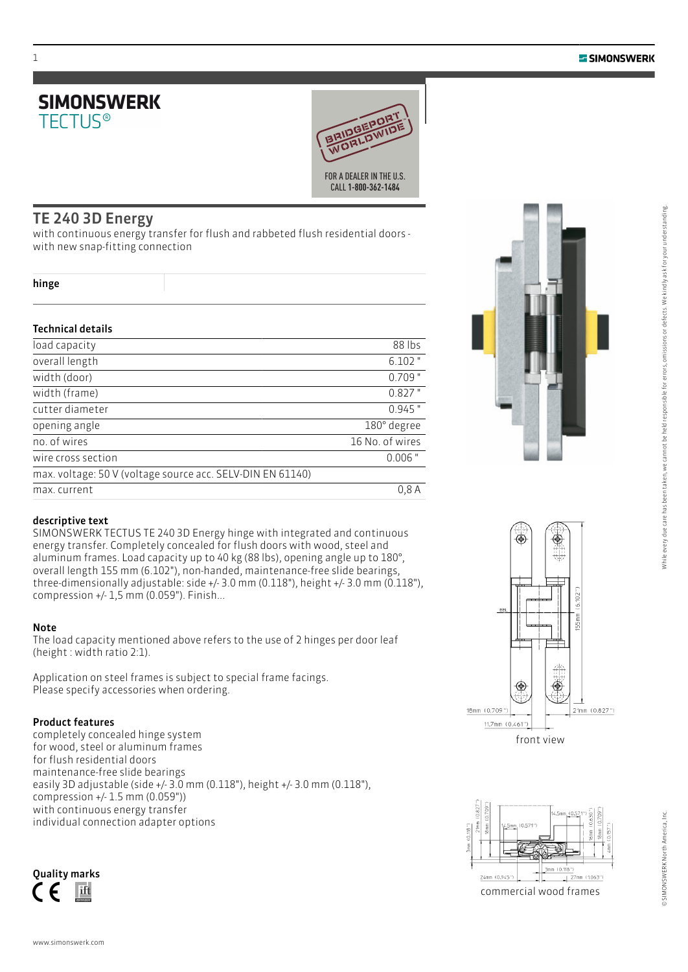



# TE 240 3D Energy

with continuous energy transfer for flush and rabbeted flush residential doors with new snap-fitting connection

|  | v       |
|--|---------|
|  | ×<br>۰, |

### Technical details

| load capacity                                              | 88 lbs          |
|------------------------------------------------------------|-----------------|
| overall length                                             | $6.102$ "       |
| width (door)                                               | $0.709$ "       |
| width (frame)                                              | $0.827$ "       |
| cutter diameter                                            | $0.945$ "       |
| opening angle                                              | 180° degree     |
| no. of wires                                               | 16 No. of wires |
| wire cross section                                         | $0.006$ "       |
| max. voltage: 50 V (voltage source acc. SELV-DIN EN 61140) |                 |
| max. current                                               | 0.8A            |



SIMONSWERK TECTUS TE 240 3D Energy hinge with integrated and continuous energy transfer. Completely concealed for flush doors with wood, steel and aluminum frames. Load capacity up to 40 kg (88 lbs), opening angle up to 180°, overall length 155 mm (6.102"), non-handed, maintenance-free slide bearings, three-dimensionally adjustable: side +/- 3.0 mm (0.118"), height +/- 3.0 mm (0.118"), compression +/- 1,5 mm (0.059"). Finish...

#### Note

The load capacity mentioned above refers to the use of 2 hinges per door leaf (height : width ratio 2:1).

Application on steel frames is subject to special frame facings. Please specify accessories when ordering.

### Product features

completely concealed hinge system for wood, steel or aluminum frames for flush residential doors maintenance-free slide bearings easily 3D adjustable (side +/- 3.0 mm (0.118"), height +/- 3.0 mm (0.118"), compression +/- 1.5 mm (0.059")) with continuous energy transfer individual connection adapter options